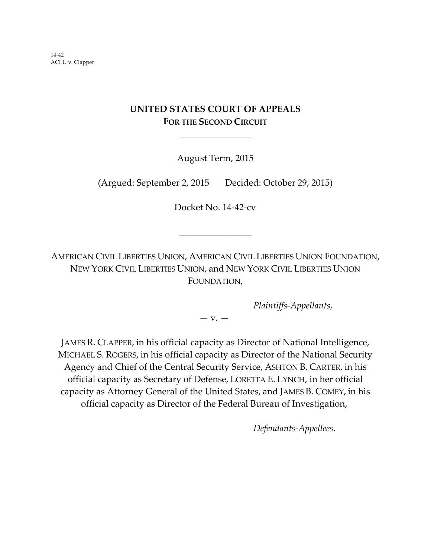14‐42 ACLU v. Clapper

# **UNITED STATES COURT OF APPEALS FOR THE SECOND CIRCUIT**

August Term, 2015

(Argued: September 2, 2015 Decided: October 29, 2015)

Docket No. 14‐42‐cv

\_\_\_\_\_\_\_\_\_\_\_\_\_\_\_\_

AMERICAN CIVIL LIBERTIES UNION, AMERICAN CIVIL LIBERTIES UNION FOUNDATION, NEW YORK CIVIL LIBERTIES UNION, and NEW YORK CIVIL LIBERTIES UNION FOUNDATION,

*Plaintiffs‐Appellants,*

*—* v. —

JAMES R. CLAPPER, in his official capacity as Director of National Intelligence, MICHAEL S. ROGERS, in his official capacity as Director of the National Security Agency and Chief of the Central Security Service, ASHTON B. CARTER, in his official capacity as Secretary of Defense, LORETTA E. LYNCH, in her official capacity as Attorney General of the United States, and JAMES B. COMEY, in his official capacity as Director of the Federal Bureau of Investigation,

*Defendants‐Appellees*.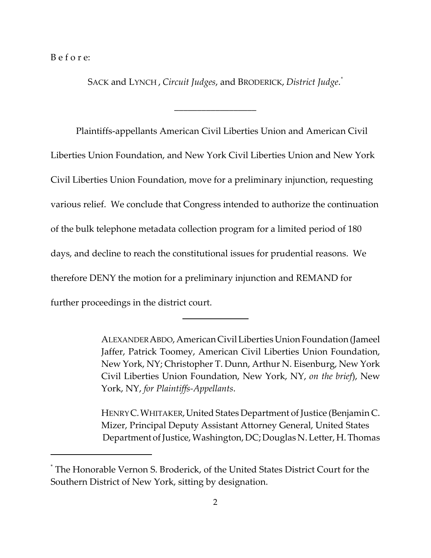B e f o r e:

SACK and LYNCH , *Circuit Judges*, and BRODERICK, *District Judge*. *\**

\_\_\_\_\_\_\_\_\_\_\_\_\_\_\_\_\_\_

Plaintiffs‐appellants American Civil Liberties Union and American Civil Liberties Union Foundation, and New York Civil Liberties Union and New York Civil Liberties Union Foundation, move for a preliminary injunction, requesting various relief. We conclude that Congress intended to authorize the continuation of the bulk telephone metadata collection program for a limited period of 180 days, and decline to reach the constitutional issues for prudential reasons. We therefore DENY the motion for a preliminary injunction and REMAND for further proceedings in the district court.

ALEXANDER ABDO, American Civil Liberties Union Foundation (Jameel Jaffer, Patrick Toomey, American Civil Liberties Union Foundation, New York, NY; Christopher T. Dunn, Arthur N. Eisenburg, New York Civil Liberties Union Foundation, New York, NY, *on the brief*), New York, NY, *for Plaintiffs‐Appellants*.

HENRYC.WHITAKER,United States Department of Justice (Benjamin C. Mizer, Principal Deputy Assistant Attorney General, United States Department of Justice, Washington, DC; Douglas N. Letter, H. Thomas

<sup>\*</sup> The Honorable Vernon S. Broderick, of the United States District Court for the Southern District of New York, sitting by designation.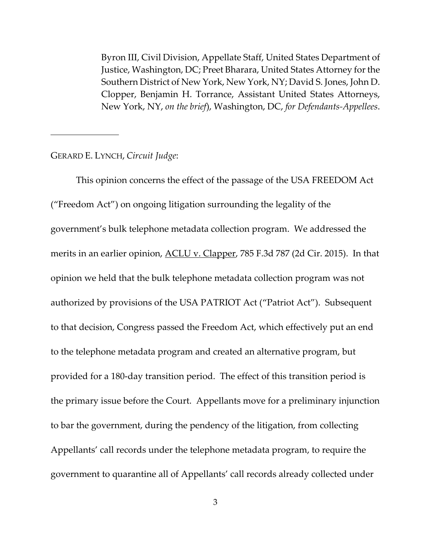Byron III, Civil Division, Appellate Staff, United States Department of Justice, Washington, DC; Preet Bharara, United States Attorney for the Southern District of New York, New York, NY; David S. Jones, John D. Clopper, Benjamin H. Torrance, Assistant United States Attorneys, New York, NY, *on the brief*), Washington, DC, *for Defendants‐Appellees*.

### GERARD E. LYNCH, *Circuit Judge*:

This opinion concerns the effect of the passage of the USA FREEDOM Act ("Freedom Act") on ongoing litigation surrounding the legality of the government's bulk telephone metadata collection program. We addressed the merits in an earlier opinion, <u>ACLU v. Clapper</u>, 785 F.3d 787 (2d Cir. 2015). In that opinion we held that the bulk telephone metadata collection program was not authorized by provisions of the USA PATRIOT Act ("Patriot Act"). Subsequent to that decision, Congress passed the Freedom Act, which effectively put an end to the telephone metadata program and created an alternative program, but provided for a 180‐day transition period. The effect of this transition period is the primary issue before the Court. Appellants move for a preliminary injunction to bar the government, during the pendency of the litigation, from collecting Appellants' call records under the telephone metadata program, to require the government to quarantine all of Appellants' call records already collected under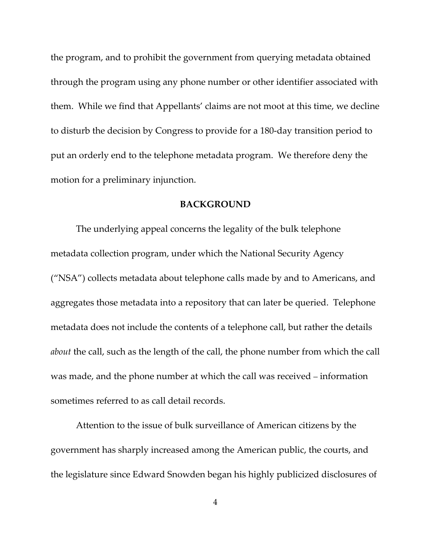the program, and to prohibit the government from querying metadata obtained through the program using any phone number or other identifier associated with them. While we find that Appellants' claims are not moot at this time, we decline to disturb the decision by Congress to provide for a 180‐day transition period to put an orderly end to the telephone metadata program. We therefore deny the motion for a preliminary injunction.

#### **BACKGROUND**

The underlying appeal concerns the legality of the bulk telephone metadata collection program, under which the National Security Agency ("NSA") collects metadata about telephone calls made by and to Americans, and aggregates those metadata into a repository that can later be queried. Telephone metadata does not include the contents of a telephone call, but rather the details *about* the call, such as the length of the call, the phone number from which the call was made, and the phone number at which the call was received – information sometimes referred to as call detail records.

Attention to the issue of bulk surveillance of American citizens by the government has sharply increased among the American public, the courts, and the legislature since Edward Snowden began his highly publicized disclosures of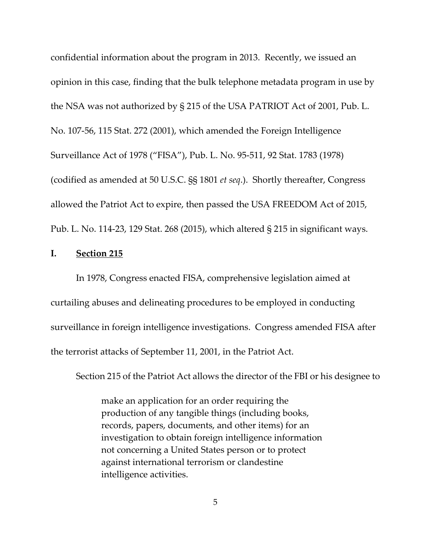confidential information about the program in 2013. Recently, we issued an opinion in this case, finding that the bulk telephone metadata program in use by the NSA was not authorized by § 215 of the USA PATRIOT Act of 2001, Pub. L. No. 107‐56, 115 Stat. 272 (2001), which amended the Foreign Intelligence Surveillance Act of 1978 ("FISA"), Pub. L. No. 95‐511, 92 Stat. 1783 (1978) (codified as amended at 50 U.S.C. §§ 1801 *et seq*.). Shortly thereafter, Congress allowed the Patriot Act to expire, then passed the USA FREEDOM Act of 2015, Pub. L. No. 114‐23, 129 Stat. 268 (2015), which altered § 215 in significant ways.

### **I. Section 215**

In 1978, Congress enacted FISA, comprehensive legislation aimed at curtailing abuses and delineating procedures to be employed in conducting surveillance in foreign intelligence investigations. Congress amended FISA after the terrorist attacks of September 11, 2001, in the Patriot Act.

Section 215 of the Patriot Act allows the director of the FBI or his designee to

make an application for an order requiring the production of any tangible things (including books, records, papers, documents, and other items) for an investigation to obtain foreign intelligence information not concerning a United States person or to protect against international terrorism or clandestine intelligence activities.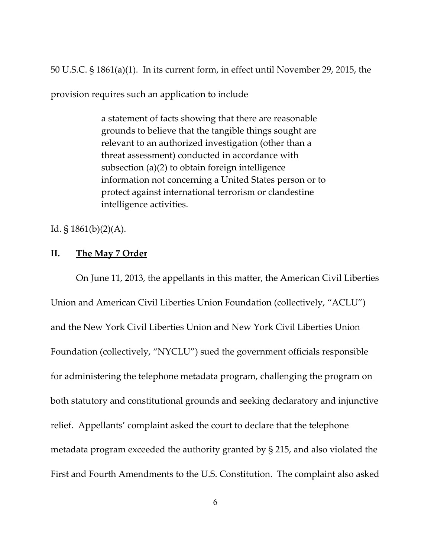50 U.S.C. § 1861(a)(1). In its current form, in effect until November 29, 2015, the

provision requires such an application to include

a statement of facts showing that there are reasonable grounds to believe that the tangible things sought are relevant to an authorized investigation (other than a threat assessment) conducted in accordance with subsection (a)(2) to obtain foreign intelligence information not concerning a United States person or to protect against international terrorism or clandestine intelligence activities.

Id.  $\S 1861(b)(2)(A)$ .

# **II. The May 7 Order**

On June 11, 2013, the appellants in this matter, the American Civil Liberties Union and American Civil Liberties Union Foundation (collectively, "ACLU") and the New York Civil Liberties Union and New York Civil Liberties Union Foundation (collectively, "NYCLU") sued the government officials responsible for administering the telephone metadata program, challenging the program on both statutory and constitutional grounds and seeking declaratory and injunctive relief. Appellants' complaint asked the court to declare that the telephone metadata program exceeded the authority granted by § 215, and also violated the First and Fourth Amendments to the U.S. Constitution. The complaint also asked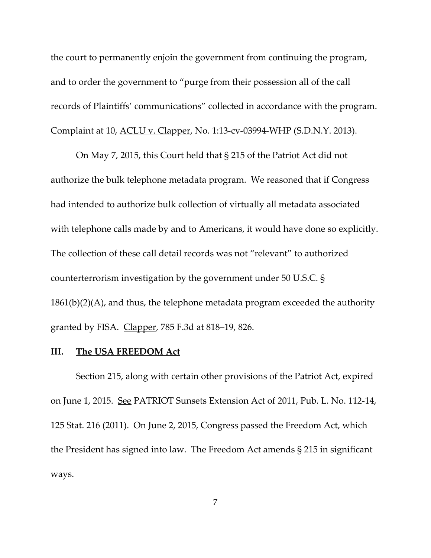the court to permanently enjoin the government from continuing the program, and to order the government to "purge from their possession all of the call records of Plaintiffs' communications" collected in accordance with the program. Complaint at 10, ACLU v. Clapper, No. 1:13‐cv‐03994‐WHP (S.D.N.Y. 2013).

On May 7, 2015, this Court held that § 215 of the Patriot Act did not authorize the bulk telephone metadata program. We reasoned that if Congress had intended to authorize bulk collection of virtually all metadata associated with telephone calls made by and to Americans, it would have done so explicitly. The collection of these call detail records was not "relevant" to authorized counterterrorism investigation by the government under 50 U.S.C. §  $1861(b)(2)(A)$ , and thus, the telephone metadata program exceeded the authority granted by FISA. Clapper, 785 F.3d at 818–19, 826.

#### **III. The USA FREEDOM Act**

Section 215, along with certain other provisions of the Patriot Act, expired on June 1, 2015. See PATRIOT Sunsets Extension Act of 2011, Pub. L. No. 112‐14, 125 Stat. 216 (2011). On June 2, 2015, Congress passed the Freedom Act, which the President has signed into law. The Freedom Act amends § 215 in significant ways.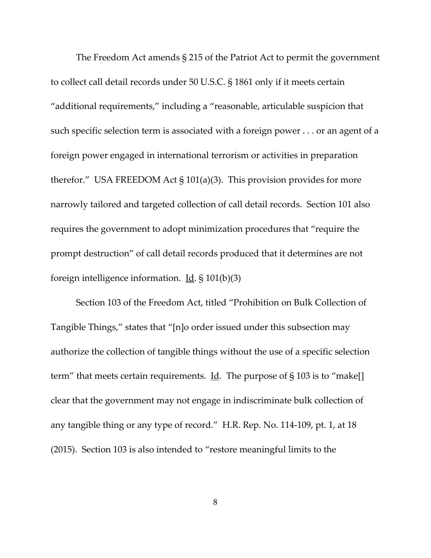The Freedom Act amends § 215 of the Patriot Act to permit the government to collect call detail records under 50 U.S.C. § 1861 only if it meets certain "additional requirements," including a "reasonable, articulable suspicion that such specific selection term is associated with a foreign power . . . or an agent of a foreign power engaged in international terrorism or activities in preparation therefor." USA FREEDOM Act § 101(a)(3). This provision provides for more narrowly tailored and targeted collection of call detail records. Section 101 also requires the government to adopt minimization procedures that "require the prompt destruction" of call detail records produced that it determines are not foreign intelligence information.  $\underline{Id}$ . § 101(b)(3)

Section 103 of the Freedom Act, titled "Prohibition on Bulk Collection of Tangible Things," states that "[n]o order issued under this subsection may authorize the collection of tangible things without the use of a specific selection term" that meets certain requirements. Id. The purpose of § 103 is to "make[] clear that the government may not engage in indiscriminate bulk collection of any tangible thing or any type of record." H.R. Rep. No. 114‐109, pt. 1, at 18 (2015). Section 103 is also intended to "restore meaningful limits to the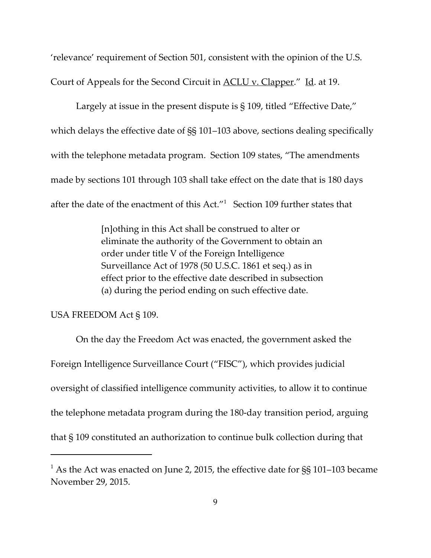'relevance' requirement of Section 501, consistent with the opinion of the U.S. Court of Appeals for the Second Circuit in <u>ACLU v. Clapper.</u>" Id. at 19.

Largely at issue in the present dispute is § 109, titled "Effective Date," which delays the effective date of §§ 101–103 above, sections dealing specifically with the telephone metadata program. Section 109 states, "The amendments made by sections 101 through 103 shall take effect on the date that is 180 days after the date of the enactment of this  $Act."$  Section 109 further states that

> [n]othing in this Act shall be construed to alter or eliminate the authority of the Government to obtain an order under title V of the Foreign Intelligence Surveillance Act of 1978 (50 U.S.C. 1861 et seq.) as in effect prior to the effective date described in subsection (a) during the period ending on such effective date.

#### USA FREEDOM Act § 109.

On the day the Freedom Act was enacted, the government asked the Foreign Intelligence Surveillance Court ("FISC"), which provides judicial oversight of classified intelligence community activities, to allow it to continue the telephone metadata program during the 180‐day transition period, arguing that § 109 constituted an authorization to continue bulk collection during that

<sup>&</sup>lt;sup>1</sup> As the Act was enacted on June 2, 2015, the effective date for  $\S$ § 101–103 became November 29, 2015.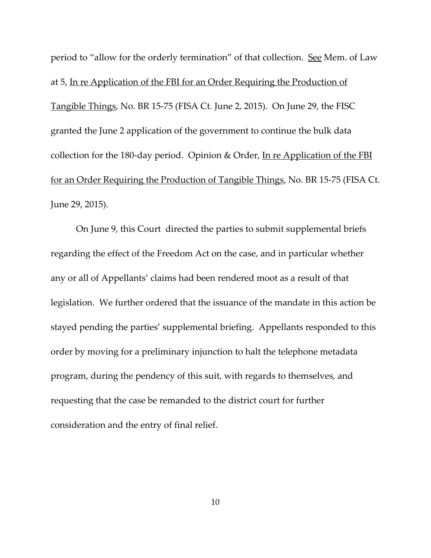period to "allow for the orderly termination" of that collection. See Mem. of Law at 5, In re Application of the FBI for an Order Requiring the Production of Tangible Things, No. BR 15‐75 (FISA Ct. June 2, 2015). On June 29, the FISC granted the June 2 application of the government to continue the bulk data collection for the 180-day period. Opinion & Order, In re Application of the FBI for an Order Requiring the Production of Tangible Things, No. BR 15‐75 (FISA Ct. June 29, 2015).

On June 9, this Court directed the parties to submit supplemental briefs regarding the effect of the Freedom Act on the case, and in particular whether any or all of Appellants' claims had been rendered moot as a result of that legislation. We further ordered that the issuance of the mandate in this action be stayed pending the parties' supplemental briefing. Appellants responded to this order by moving for a preliminary injunction to halt the telephone metadata program, during the pendency of this suit, with regards to themselves, and requesting that the case be remanded to the district court for further consideration and the entry of final relief.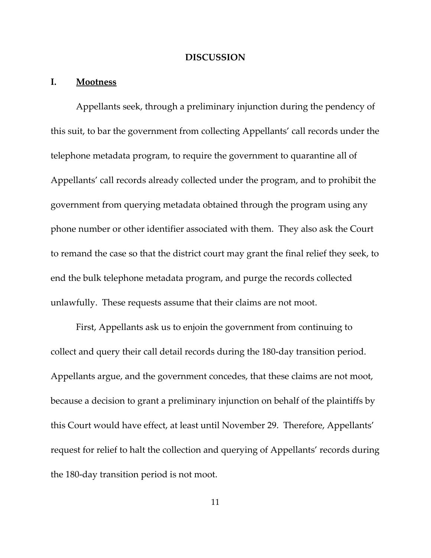#### **DISCUSSION**

## **I. Mootness**

Appellants seek, through a preliminary injunction during the pendency of this suit, to bar the government from collecting Appellants' call records under the telephone metadata program, to require the government to quarantine all of Appellants' call records already collected under the program, and to prohibit the government from querying metadata obtained through the program using any phone number or other identifier associated with them. They also ask the Court to remand the case so that the district court may grant the final relief they seek, to end the bulk telephone metadata program, and purge the records collected unlawfully. These requests assume that their claims are not moot.

First, Appellants ask us to enjoin the government from continuing to collect and query their call detail records during the 180‐day transition period. Appellants argue, and the government concedes, that these claims are not moot, because a decision to grant a preliminary injunction on behalf of the plaintiffs by this Court would have effect, at least until November 29. Therefore, Appellants' request for relief to halt the collection and querying of Appellants' records during the 180‐day transition period is not moot.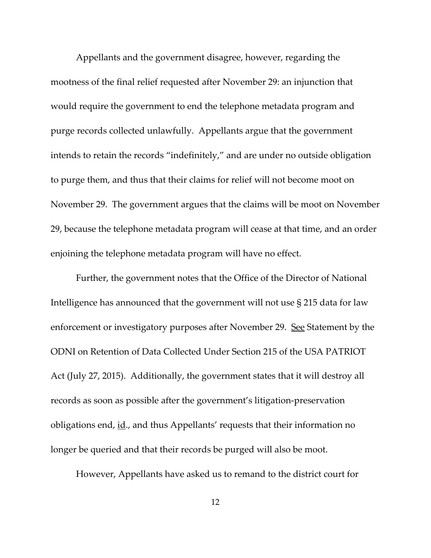Appellants and the government disagree, however, regarding the mootness of the final relief requested after November 29: an injunction that would require the government to end the telephone metadata program and purge records collected unlawfully. Appellants argue that the government intends to retain the records "indefinitely," and are under no outside obligation to purge them, and thus that their claims for relief will not become moot on November 29. The government argues that the claims will be moot on November 29, because the telephone metadata program will cease at that time, and an order enjoining the telephone metadata program will have no effect.

Further, the government notes that the Office of the Director of National Intelligence has announced that the government will not use § 215 data for law enforcement or investigatory purposes after November 29. See Statement by the ODNI on Retention of Data Collected Under Section 215 of the USA PATRIOT Act (July 27, 2015). Additionally, the government states that it will destroy all records as soon as possible after the government's litigation‐preservation obligations end, id., and thus Appellants' requests that their information no longer be queried and that their records be purged will also be moot.

However, Appellants have asked us to remand to the district court for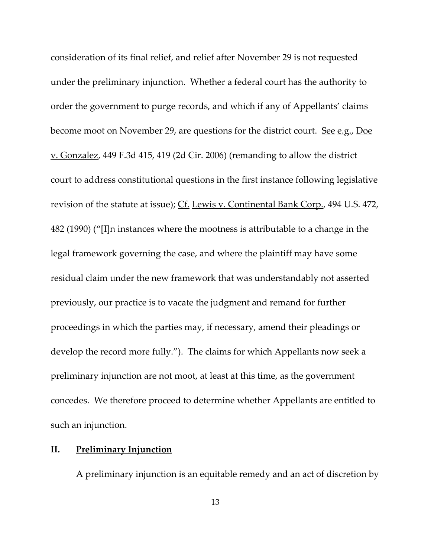consideration of its final relief, and relief after November 29 is not requested under the preliminary injunction. Whether a federal court has the authority to order the government to purge records, and which if any of Appellants' claims become moot on November 29, are questions for the district court. See e.g., Doe v. Gonzalez, 449 F.3d 415, 419 (2d Cir. 2006) (remanding to allow the district court to address constitutional questions in the first instance following legislative revision of the statute at issue); Cf. Lewis v. Continental Bank Corp., 494 U.S. 472, 482 (1990) ("[I]n instances where the mootness is attributable to a change in the legal framework governing the case, and where the plaintiff may have some residual claim under the new framework that was understandably not asserted previously, our practice is to vacate the judgment and remand for further proceedings in which the parties may, if necessary, amend their pleadings or develop the record more fully."). The claims for which Appellants now seek a preliminary injunction are not moot, at least at this time, as the government concedes. We therefore proceed to determine whether Appellants are entitled to such an injunction.

# **II. Preliminary Injunction**

A preliminary injunction is an equitable remedy and an act of discretion by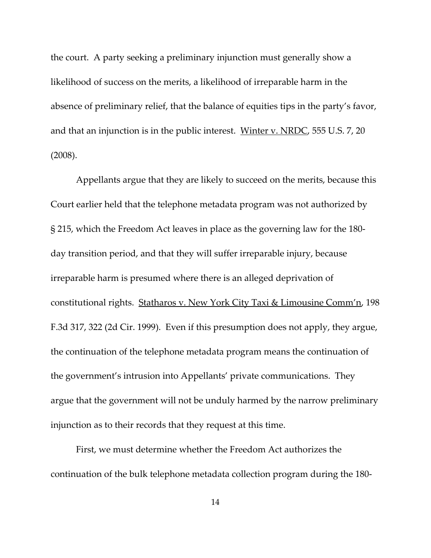the court. A party seeking a preliminary injunction must generally show a likelihood of success on the merits, a likelihood of irreparable harm in the absence of preliminary relief, that the balance of equities tips in the party's favor, and that an injunction is in the public interest. Winter v. NRDC, 555 U.S. 7, 20 (2008).

Appellants argue that they are likely to succeed on the merits, because this Court earlier held that the telephone metadata program was not authorized by § 215, which the Freedom Act leaves in place as the governing law for the 180‐ day transition period, and that they will suffer irreparable injury, because irreparable harm is presumed where there is an alleged deprivation of constitutional rights. Statharos v. New York City Taxi & Limousine Comm'n, 198 F.3d 317, 322 (2d Cir. 1999). Even if this presumption does not apply, they argue, the continuation of the telephone metadata program means the continuation of the government's intrusion into Appellants' private communications. They argue that the government will not be unduly harmed by the narrow preliminary injunction as to their records that they request at this time.

First, we must determine whether the Freedom Act authorizes the continuation of the bulk telephone metadata collection program during the 180‐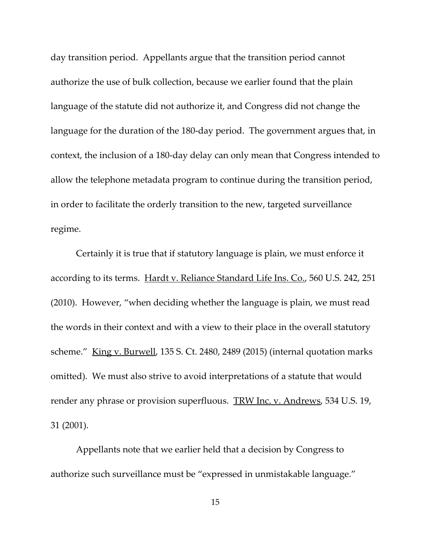day transition period. Appellants argue that the transition period cannot authorize the use of bulk collection, because we earlier found that the plain language of the statute did not authorize it, and Congress did not change the language for the duration of the 180‐day period. The government argues that, in context, the inclusion of a 180‐day delay can only mean that Congress intended to allow the telephone metadata program to continue during the transition period, in order to facilitate the orderly transition to the new, targeted surveillance regime.

Certainly it is true that if statutory language is plain, we must enforce it according to its terms. Hardt v. Reliance Standard Life Ins. Co., 560 U.S. 242, 251 (2010). However, "when deciding whether the language is plain, we must read the words in their context and with a view to their place in the overall statutory scheme." King v. Burwell, 135 S. Ct. 2480, 2489 (2015) (internal quotation marks omitted). We must also strive to avoid interpretations of a statute that would render any phrase or provision superfluous. TRW Inc. v. Andrews, 534 U.S. 19, 31 (2001).

Appellants note that we earlier held that a decision by Congress to authorize such surveillance must be "expressed in unmistakable language."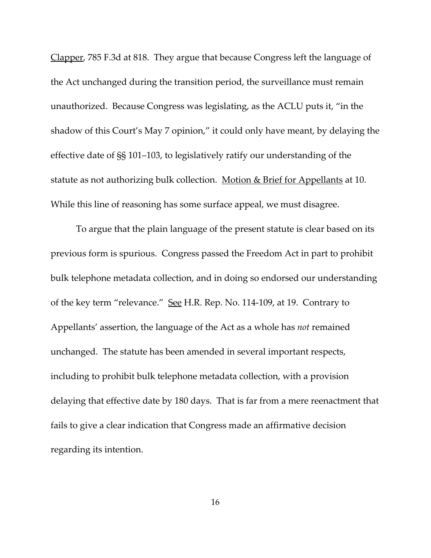Clapper, 785 F.3d at 818. They argue that because Congress left the language of the Act unchanged during the transition period, the surveillance must remain unauthorized. Because Congress was legislating, as the ACLU puts it, "in the shadow of this Court's May 7 opinion," it could only have meant, by delaying the effective date of §§ 101–103, to legislatively ratify our understanding of the statute as not authorizing bulk collection. Motion & Brief for Appellants at 10. While this line of reasoning has some surface appeal, we must disagree.

To argue that the plain language of the present statute is clear based on its previous form is spurious. Congress passed the Freedom Act in part to prohibit bulk telephone metadata collection, and in doing so endorsed our understanding of the key term "relevance." See H.R. Rep. No. 114-109, at 19. Contrary to Appellants' assertion, the language of the Act as a whole has *not* remained unchanged. The statute has been amended in several important respects, including to prohibit bulk telephone metadata collection, with a provision delaying that effective date by 180 days. That is far from a mere reenactment that fails to give a clear indication that Congress made an affirmative decision regarding its intention.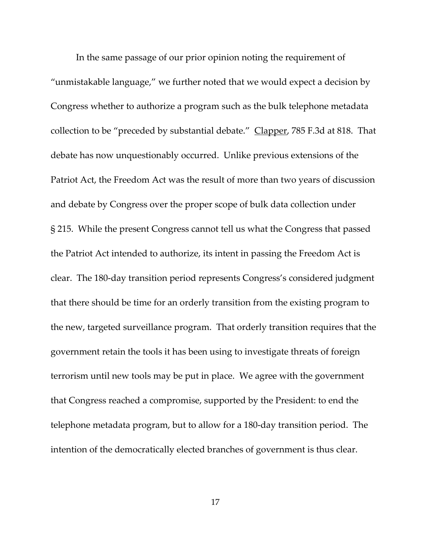In the same passage of our prior opinion noting the requirement of "unmistakable language," we further noted that we would expect a decision by Congress whether to authorize a program such as the bulk telephone metadata collection to be "preceded by substantial debate." Clapper, 785 F.3d at 818. That debate has now unquestionably occurred. Unlike previous extensions of the Patriot Act, the Freedom Act was the result of more than two years of discussion and debate by Congress over the proper scope of bulk data collection under § 215. While the present Congress cannot tell us what the Congress that passed the Patriot Act intended to authorize, its intent in passing the Freedom Act is clear. The 180‐day transition period represents Congress's considered judgment that there should be time for an orderly transition from the existing program to the new, targeted surveillance program. That orderly transition requires that the government retain the tools it has been using to investigate threats of foreign terrorism until new tools may be put in place. We agree with the government that Congress reached a compromise, supported by the President: to end the telephone metadata program, but to allow for a 180‐day transition period. The intention of the democratically elected branches of government is thus clear.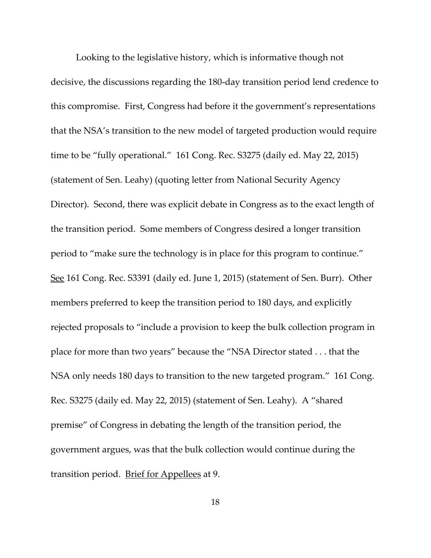Looking to the legislative history, which is informative though not decisive, the discussions regarding the 180‐day transition period lend credence to this compromise. First, Congress had before it the government's representations that the NSA's transition to the new model of targeted production would require time to be "fully operational." 161 Cong. Rec. S3275 (daily ed. May 22, 2015) (statement of Sen. Leahy) (quoting letter from National Security Agency Director). Second, there was explicit debate in Congress as to the exact length of the transition period. Some members of Congress desired a longer transition period to "make sure the technology is in place for this program to continue." See 161 Cong. Rec. S3391 (daily ed. June 1, 2015) (statement of Sen. Burr). Other members preferred to keep the transition period to 180 days, and explicitly rejected proposals to "include a provision to keep the bulk collection program in place for more than two years" because the "NSA Director stated . . . that the NSA only needs 180 days to transition to the new targeted program." 161 Cong. Rec. S3275 (daily ed. May 22, 2015) (statement of Sen. Leahy). A "shared premise" of Congress in debating the length of the transition period, the government argues, was that the bulk collection would continue during the transition period. Brief for Appellees at 9.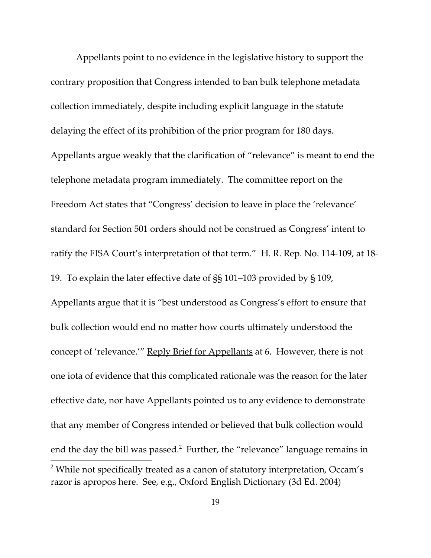Appellants point to no evidence in the legislative history to support the contrary proposition that Congress intended to ban bulk telephone metadata collection immediately, despite including explicit language in the statute delaying the effect of its prohibition of the prior program for 180 days. Appellants argue weakly that the clarification of "relevance" is meant to end the telephone metadata program immediately. The committee report on the Freedom Act states that "Congress' decision to leave in place the 'relevance' standard for Section 501 orders should not be construed as Congress' intent to ratify the FISA Court's interpretation of that term." H. R. Rep. No. 114‐109, at 18‐ 19. To explain the later effective date of §§ 101–103 provided by § 109, Appellants argue that it is "best understood as Congress's effort to ensure that bulk collection would end no matter how courts ultimately understood the concept of 'relevance.'" Reply Brief for Appellants at 6. However, there is not one iota of evidence that this complicated rationale was the reason for the later effective date, nor have Appellants pointed us to any evidence to demonstrate that any member of Congress intended or believed that bulk collection would end the day the bill was passed. $^2$  Further, the "relevance" language remains in <sup>2</sup> While not specifically treated as a canon of statutory interpretation, Occam's razor is apropos here. See, e.g., Oxford English Dictionary (3d Ed. 2004)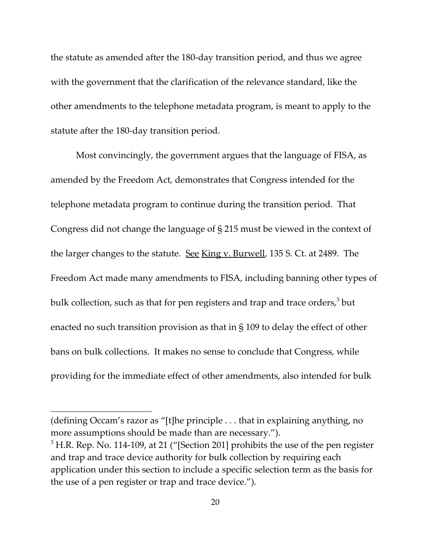the statute as amended after the 180‐day transition period, and thus we agree with the government that the clarification of the relevance standard, like the other amendments to the telephone metadata program, is meant to apply to the statute after the 180‐day transition period.

Most convincingly, the government argues that the language of FISA, as amended by the Freedom Act, demonstrates that Congress intended for the telephone metadata program to continue during the transition period. That Congress did not change the language of § 215 must be viewed in the context of the larger changes to the statute. See King v. Burwell, 135 S. Ct. at 2489. The Freedom Act made many amendments to FISA, including banning other types of bulk collection, such as that for pen registers and trap and trace orders, $3$  but enacted no such transition provision as that in § 109 to delay the effect of other bans on bulk collections. It makes no sense to conclude that Congress, while providing for the immediate effect of other amendments, also intended for bulk

<sup>(</sup>defining Occam's razor as "[t]he principle . . . that in explaining anything, no more assumptions should be made than are necessary.").

 $3$  H.R. Rep. No. 114-109, at 21 ("[Section 201] prohibits the use of the pen register and trap and trace device authority for bulk collection by requiring each application under this section to include a specific selection term as the basis for the use of a pen register or trap and trace device.").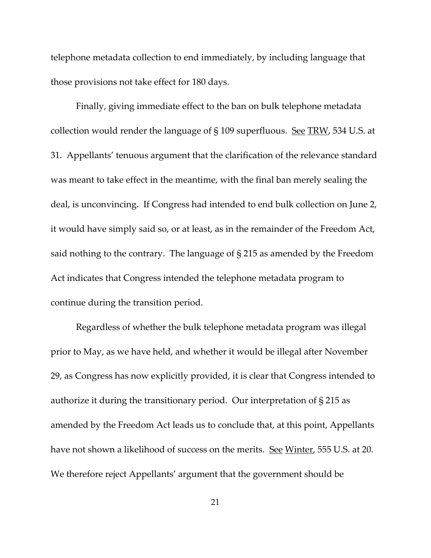telephone metadata collection to end immediately, by including language that those provisions not take effect for 180 days.

Finally, giving immediate effect to the ban on bulk telephone metadata collection would render the language of  $\S$  109 superfluous. See TRW, 534 U.S. at 31. Appellants' tenuous argument that the clarification of the relevance standard was meant to take effect in the meantime, with the final ban merely sealing the deal, is unconvincing. If Congress had intended to end bulk collection on June 2, it would have simply said so, or at least, as in the remainder of the Freedom Act, said nothing to the contrary. The language of § 215 as amended by the Freedom Act indicates that Congress intended the telephone metadata program to continue during the transition period.

Regardless of whether the bulk telephone metadata program was illegal prior to May, as we have held, and whether it would be illegal after November 29, as Congress has now explicitly provided, it is clear that Congress intended to authorize it during the transitionary period. Our interpretation of § 215 as amended by the Freedom Act leads us to conclude that, at this point, Appellants have not shown a likelihood of success on the merits. <u>See Winter</u>, 555 U.S. at 20. We therefore reject Appellants' argument that the government should be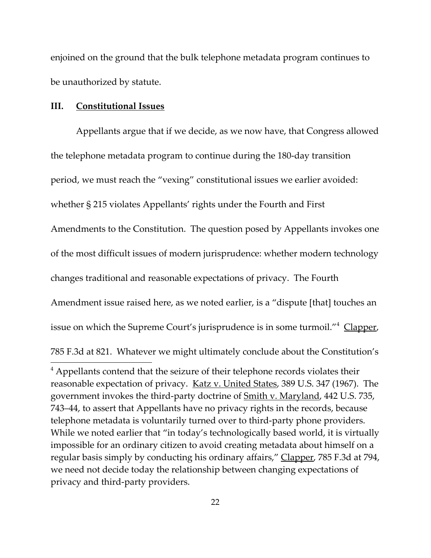enjoined on the ground that the bulk telephone metadata program continues to be unauthorized by statute.

## **III. Constitutional Issues**

Appellants argue that if we decide, as we now have, that Congress allowed the telephone metadata program to continue during the 180‐day transition period, we must reach the "vexing" constitutional issues we earlier avoided: whether § 215 violates Appellants' rights under the Fourth and First Amendments to the Constitution. The question posed by Appellants invokes one of the most difficult issues of modern jurisprudence: whether modern technology changes traditional and reasonable expectations of privacy. The Fourth Amendment issue raised here, as we noted earlier, is a "dispute [that] touches an issue on which the Supreme Court's jurisprudence is in some turmoil."<sup>4</sup> Clapper, 785 F.3d at 821. Whatever we might ultimately conclude about the Constitution's

<sup>&</sup>lt;sup>4</sup> Appellants contend that the seizure of their telephone records violates their reasonable expectation of privacy. Katz v. United States, 389 U.S. 347 (1967). The government invokes the third-party doctrine of <u>Smith v. Maryland</u>, 442 U.S. 735, 743–44, to assert that Appellants have no privacy rights in the records, because telephone metadata is voluntarily turned over to third‐party phone providers. While we noted earlier that "in today's technologically based world, it is virtually impossible for an ordinary citizen to avoid creating metadata about himself on a regular basis simply by conducting his ordinary affairs," Clapper, 785 F.3d at 794, we need not decide today the relationship between changing expectations of privacy and third‐party providers.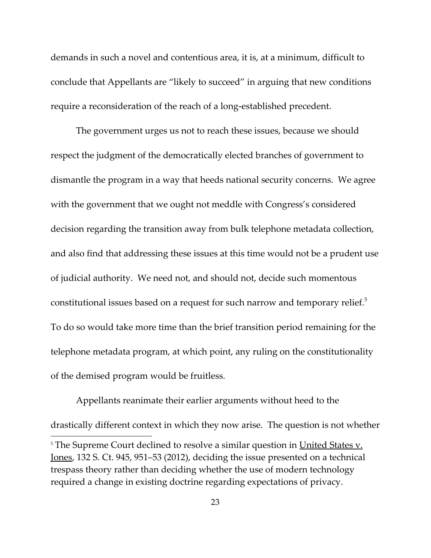demands in such a novel and contentious area, it is, at a minimum, difficult to conclude that Appellants are "likely to succeed" in arguing that new conditions require a reconsideration of the reach of a long‐established precedent.

The government urges us not to reach these issues, because we should respect the judgment of the democratically elected branches of government to dismantle the program in a way that heeds national security concerns. We agree with the government that we ought not meddle with Congress's considered decision regarding the transition away from bulk telephone metadata collection, and also find that addressing these issues at this time would not be a prudent use of judicial authority. We need not, and should not, decide such momentous constitutional issues based on a request for such narrow and temporary relief.<sup>5</sup> To do so would take more time than the brief transition period remaining for the telephone metadata program, at which point, any ruling on the constitutionality of the demised program would be fruitless.

Appellants reanimate their earlier arguments without heed to the drastically different context in which they now arise. The question is not whether

<sup>&</sup>lt;sup>5</sup> The Supreme Court declined to resolve a similar question in United States v. Jones, 132 S. Ct. 945, 951–53 (2012), deciding the issue presented on a technical trespass theory rather than deciding whether the use of modern technology required a change in existing doctrine regarding expectations of privacy.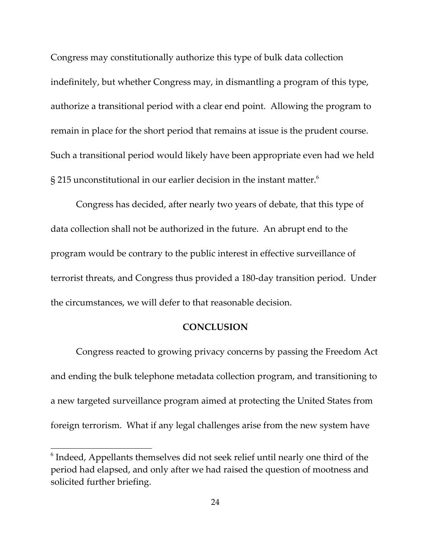Congress may constitutionally authorize this type of bulk data collection indefinitely, but whether Congress may, in dismantling a program of this type, authorize a transitional period with a clear end point. Allowing the program to remain in place for the short period that remains at issue is the prudent course. Such a transitional period would likely have been appropriate even had we held § 215 unconstitutional in our earlier decision in the instant matter. $6$ 

Congress has decided, after nearly two years of debate, that this type of data collection shall not be authorized in the future. An abrupt end to the program would be contrary to the public interest in effective surveillance of terrorist threats, and Congress thus provided a 180‐day transition period. Under the circumstances, we will defer to that reasonable decision.

# **CONCLUSION**

Congress reacted to growing privacy concerns by passing the Freedom Act and ending the bulk telephone metadata collection program, and transitioning to a new targeted surveillance program aimed at protecting the United States from foreign terrorism. What if any legal challenges arise from the new system have

<sup>6</sup> Indeed, Appellants themselves did not seek relief until nearly one third of the period had elapsed, and only after we had raised the question of mootness and solicited further briefing.